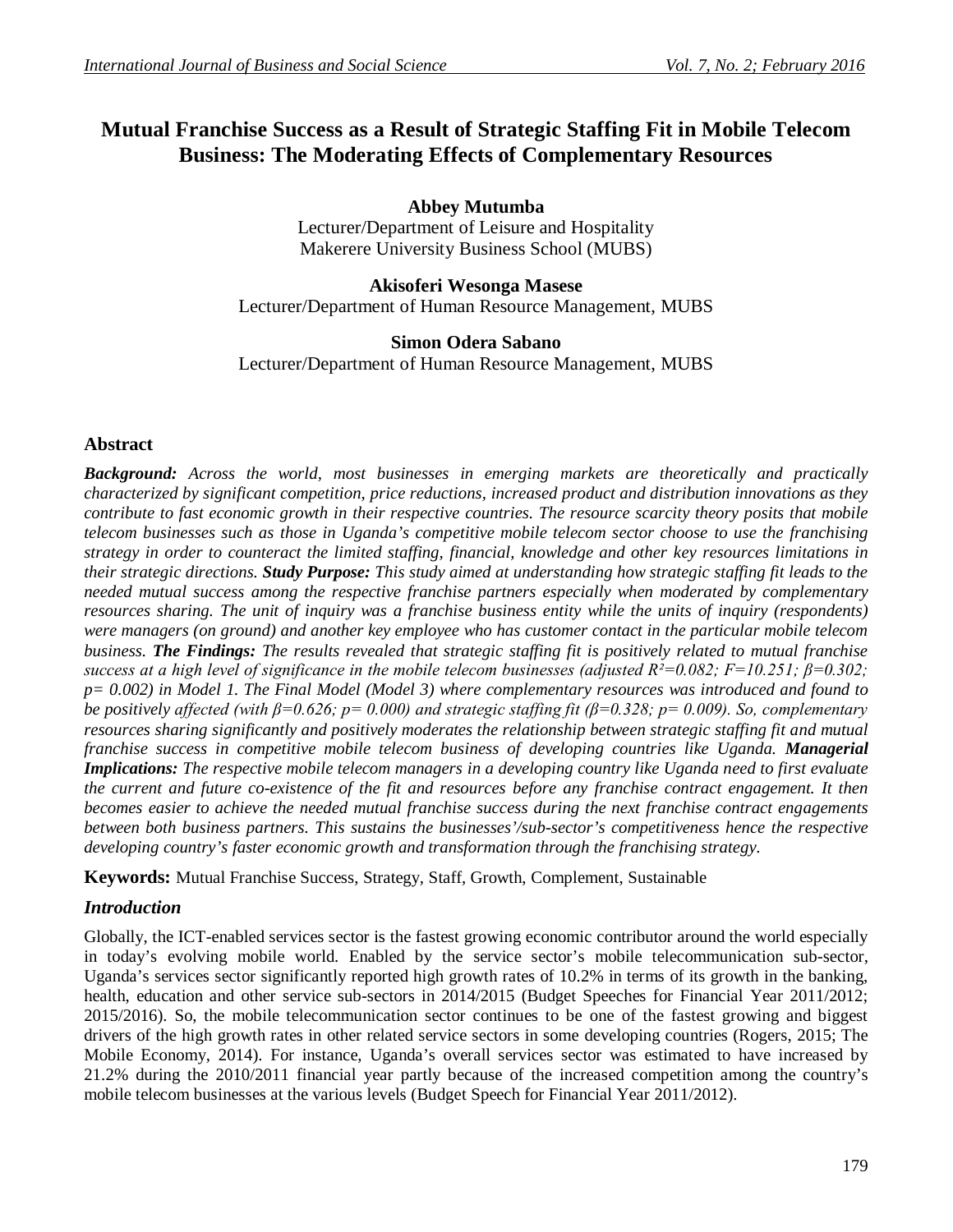# **Mutual Franchise Success as a Result of Strategic Staffing Fit in Mobile Telecom Business: The Moderating Effects of Complementary Resources**

**Abbey Mutumba** Lecturer/Department of Leisure and Hospitality Makerere University Business School (MUBS)

**Akisoferi Wesonga Masese** Lecturer/Department of Human Resource Management, MUBS

**Simon Odera Sabano** Lecturer/Department of Human Resource Management, MUBS

## **Abstract**

*Background: Across the world, most businesses in emerging markets are theoretically and practically characterized by significant competition, price reductions, increased product and distribution innovations as they contribute to fast economic growth in their respective countries. The resource scarcity theory posits that mobile telecom businesses such as those in Uganda's competitive mobile telecom sector choose to use the franchising strategy in order to counteract the limited staffing, financial, knowledge and other key resources limitations in their strategic directions. Study Purpose: This study aimed at understanding how strategic staffing fit leads to the needed mutual success among the respective franchise partners especially when moderated by complementary resources sharing. The unit of inquiry was a franchise business entity while the units of inquiry (respondents) were managers (on ground) and another key employee who has customer contact in the particular mobile telecom business. The Findings: The results revealed that strategic staffing fit is positively related to mutual franchise success at a high level of significance in the mobile telecom businesses (adjusted R²=0.082; F=10.251; β=0.302; p= 0.002) in Model 1. The Final Model (Model 3) where complementary resources was introduced and found to be positively affected (with β=0.626; p= 0.000) and strategic staffing fit (β=0.328; p= 0.009). So, complementary resources sharing significantly and positively moderates the relationship between strategic staffing fit and mutual franchise success in competitive mobile telecom business of developing countries like Uganda. Managerial Implications: The respective mobile telecom managers in a developing country like Uganda need to first evaluate the current and future co-existence of the fit and resources before any franchise contract engagement. It then becomes easier to achieve the needed mutual franchise success during the next franchise contract engagements between both business partners. This sustains the businesses'/sub-sector's competitiveness hence the respective developing country's faster economic growth and transformation through the franchising strategy.*

**Keywords:** Mutual Franchise Success, Strategy, Staff, Growth, Complement, Sustainable

## *Introduction*

Globally, the ICT-enabled services sector is the fastest growing economic contributor around the world especially in today's evolving mobile world. Enabled by the service sector's mobile telecommunication sub-sector, Uganda's services sector significantly reported high growth rates of 10.2% in terms of its growth in the banking, health, education and other service sub-sectors in 2014/2015 (Budget Speeches for Financial Year 2011/2012; 2015/2016). So, the mobile telecommunication sector continues to be one of the fastest growing and biggest drivers of the high growth rates in other related service sectors in some developing countries (Rogers, 2015; The Mobile Economy, 2014). For instance, Uganda's overall services sector was estimated to have increased by 21.2% during the 2010/2011 financial year partly because of the increased competition among the country's mobile telecom businesses at the various levels (Budget Speech for Financial Year 2011/2012).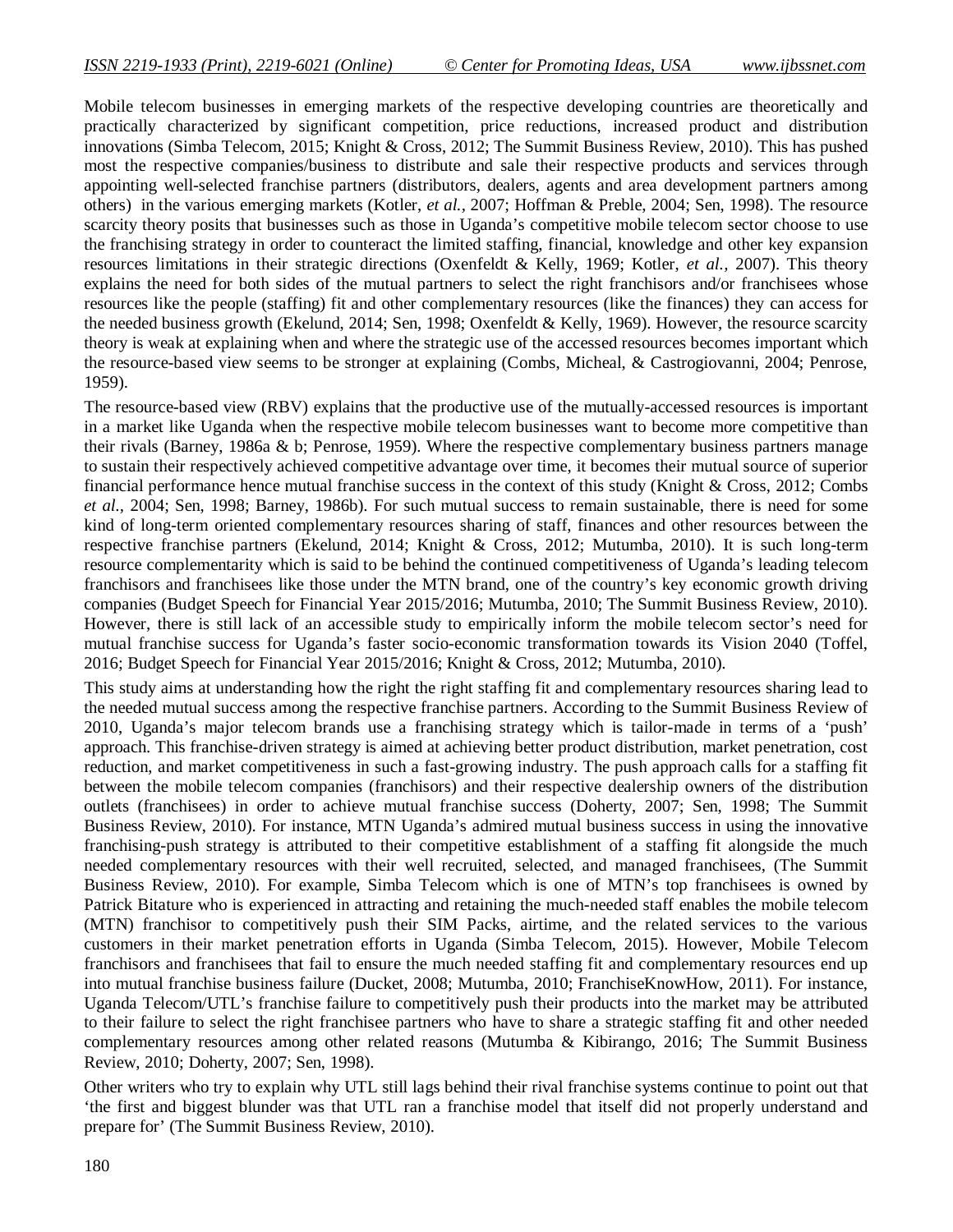Mobile telecom businesses in emerging markets of the respective developing countries are theoretically and practically characterized by significant competition, price reductions, increased product and distribution innovations (Simba Telecom, 2015; Knight & Cross, 2012; The Summit Business Review, 2010). This has pushed most the respective companies/business to distribute and sale their respective products and services through appointing well-selected franchise partners (distributors, dealers, agents and area development partners among others) in the various emerging markets (Kotler, *et al.,* 2007; Hoffman & Preble, 2004; Sen, 1998). The resource scarcity theory posits that businesses such as those in Uganda's competitive mobile telecom sector choose to use the franchising strategy in order to counteract the limited staffing, financial, knowledge and other key expansion resources limitations in their strategic directions (Oxenfeldt & Kelly, 1969; Kotler, *et al.,* 2007). This theory explains the need for both sides of the mutual partners to select the right franchisors and/or franchisees whose resources like the people (staffing) fit and other complementary resources (like the finances) they can access for the needed business growth (Ekelund, 2014; Sen, 1998; Oxenfeldt & Kelly, 1969). However, the resource scarcity theory is weak at explaining when and where the strategic use of the accessed resources becomes important which the resource-based view seems to be stronger at explaining (Combs, Micheal, & Castrogiovanni, 2004; Penrose, 1959).

The resource-based view (RBV) explains that the productive use of the mutually-accessed resources is important in a market like Uganda when the respective mobile telecom businesses want to become more competitive than their rivals (Barney, 1986a & b; Penrose, 1959). Where the respective complementary business partners manage to sustain their respectively achieved competitive advantage over time, it becomes their mutual source of superior financial performance hence mutual franchise success in the context of this study (Knight & Cross, 2012; Combs *et al.,* 2004; Sen, 1998; Barney, 1986b). For such mutual success to remain sustainable, there is need for some kind of long-term oriented complementary resources sharing of staff, finances and other resources between the respective franchise partners (Ekelund, 2014; Knight & Cross, 2012; Mutumba, 2010). It is such long-term resource complementarity which is said to be behind the continued competitiveness of Uganda's leading telecom franchisors and franchisees like those under the MTN brand, one of the country's key economic growth driving companies (Budget Speech for Financial Year 2015/2016; Mutumba, 2010; The Summit Business Review, 2010). However, there is still lack of an accessible study to empirically inform the mobile telecom sector's need for mutual franchise success for Uganda's faster socio-economic transformation towards its Vision 2040 (Toffel, 2016; Budget Speech for Financial Year 2015/2016; Knight & Cross, 2012; Mutumba, 2010).

This study aims at understanding how the right the right staffing fit and complementary resources sharing lead to the needed mutual success among the respective franchise partners. According to the Summit Business Review of 2010, Uganda's major telecom brands use a franchising strategy which is tailor-made in terms of a 'push' approach. This franchise-driven strategy is aimed at achieving better product distribution, market penetration, cost reduction, and market competitiveness in such a fast-growing industry. The push approach calls for a staffing fit between the mobile telecom companies (franchisors) and their respective dealership owners of the distribution outlets (franchisees) in order to achieve mutual franchise success (Doherty, 2007; Sen, 1998; The Summit Business Review, 2010). For instance, MTN Uganda's admired mutual business success in using the innovative franchising-push strategy is attributed to their competitive establishment of a staffing fit alongside the much needed complementary resources with their well recruited, selected, and managed franchisees, (The Summit Business Review, 2010). For example, Simba Telecom which is one of MTN's top franchisees is owned by Patrick Bitature who is experienced in attracting and retaining the much-needed staff enables the mobile telecom (MTN) franchisor to competitively push their SIM Packs, airtime, and the related services to the various customers in their market penetration efforts in Uganda (Simba Telecom, 2015). However, Mobile Telecom franchisors and franchisees that fail to ensure the much needed staffing fit and complementary resources end up into mutual franchise business failure (Ducket, 2008; Mutumba, 2010; FranchiseKnowHow, 2011). For instance, Uganda Telecom/UTL's franchise failure to competitively push their products into the market may be attributed to their failure to select the right franchisee partners who have to share a strategic staffing fit and other needed complementary resources among other related reasons (Mutumba & Kibirango, 2016; The Summit Business Review, 2010; Doherty, 2007; Sen, 1998).

Other writers who try to explain why UTL still lags behind their rival franchise systems continue to point out that 'the first and biggest blunder was that UTL ran a franchise model that itself did not properly understand and prepare for' (The Summit Business Review, 2010).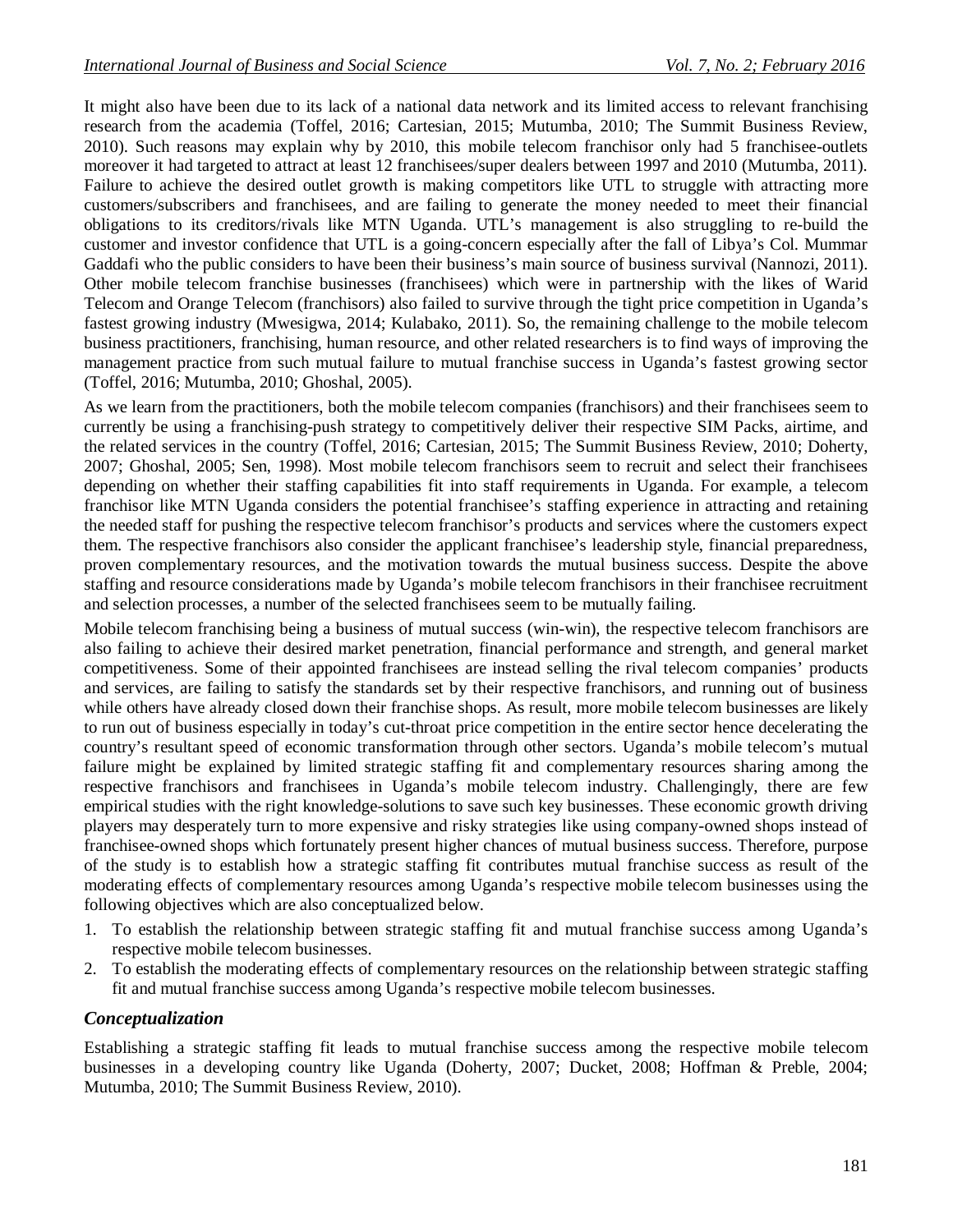It might also have been due to its lack of a national data network and its limited access to relevant franchising research from the academia (Toffel, 2016; Cartesian, 2015; Mutumba, 2010; The Summit Business Review, 2010). Such reasons may explain why by 2010, this mobile telecom franchisor only had 5 franchisee-outlets moreover it had targeted to attract at least 12 franchisees/super dealers between 1997 and 2010 (Mutumba, 2011). Failure to achieve the desired outlet growth is making competitors like UTL to struggle with attracting more customers/subscribers and franchisees, and are failing to generate the money needed to meet their financial obligations to its creditors/rivals like MTN Uganda. UTL's management is also struggling to re-build the customer and investor confidence that UTL is a going-concern especially after the fall of Libya's Col. Mummar Gaddafi who the public considers to have been their business's main source of business survival (Nannozi, 2011). Other mobile telecom franchise businesses (franchisees) which were in partnership with the likes of Warid Telecom and Orange Telecom (franchisors) also failed to survive through the tight price competition in Uganda's fastest growing industry (Mwesigwa, 2014; Kulabako, 2011). So, the remaining challenge to the mobile telecom business practitioners, franchising, human resource, and other related researchers is to find ways of improving the management practice from such mutual failure to mutual franchise success in Uganda's fastest growing sector (Toffel, 2016; Mutumba, 2010; Ghoshal, 2005).

As we learn from the practitioners, both the mobile telecom companies (franchisors) and their franchisees seem to currently be using a franchising-push strategy to competitively deliver their respective SIM Packs, airtime, and the related services in the country (Toffel, 2016; Cartesian, 2015; The Summit Business Review, 2010; Doherty, 2007; Ghoshal, 2005; Sen, 1998). Most mobile telecom franchisors seem to recruit and select their franchisees depending on whether their staffing capabilities fit into staff requirements in Uganda. For example, a telecom franchisor like MTN Uganda considers the potential franchisee's staffing experience in attracting and retaining the needed staff for pushing the respective telecom franchisor's products and services where the customers expect them. The respective franchisors also consider the applicant franchisee's leadership style, financial preparedness, proven complementary resources, and the motivation towards the mutual business success. Despite the above staffing and resource considerations made by Uganda's mobile telecom franchisors in their franchisee recruitment and selection processes, a number of the selected franchisees seem to be mutually failing.

Mobile telecom franchising being a business of mutual success (win-win), the respective telecom franchisors are also failing to achieve their desired market penetration, financial performance and strength, and general market competitiveness. Some of their appointed franchisees are instead selling the rival telecom companies' products and services, are failing to satisfy the standards set by their respective franchisors, and running out of business while others have already closed down their franchise shops. As result, more mobile telecom businesses are likely to run out of business especially in today's cut-throat price competition in the entire sector hence decelerating the country's resultant speed of economic transformation through other sectors. Uganda's mobile telecom's mutual failure might be explained by limited strategic staffing fit and complementary resources sharing among the respective franchisors and franchisees in Uganda's mobile telecom industry. Challengingly, there are few empirical studies with the right knowledge-solutions to save such key businesses. These economic growth driving players may desperately turn to more expensive and risky strategies like using company-owned shops instead of franchisee-owned shops which fortunately present higher chances of mutual business success. Therefore, purpose of the study is to establish how a strategic staffing fit contributes mutual franchise success as result of the moderating effects of complementary resources among Uganda's respective mobile telecom businesses using the following objectives which are also conceptualized below.

- 1. To establish the relationship between strategic staffing fit and mutual franchise success among Uganda's respective mobile telecom businesses.
- 2. To establish the moderating effects of complementary resources on the relationship between strategic staffing fit and mutual franchise success among Uganda's respective mobile telecom businesses.

## *Conceptualization*

Establishing a strategic staffing fit leads to mutual franchise success among the respective mobile telecom businesses in a developing country like Uganda (Doherty, 2007; Ducket, 2008; Hoffman & Preble, 2004; Mutumba, 2010; The Summit Business Review, 2010).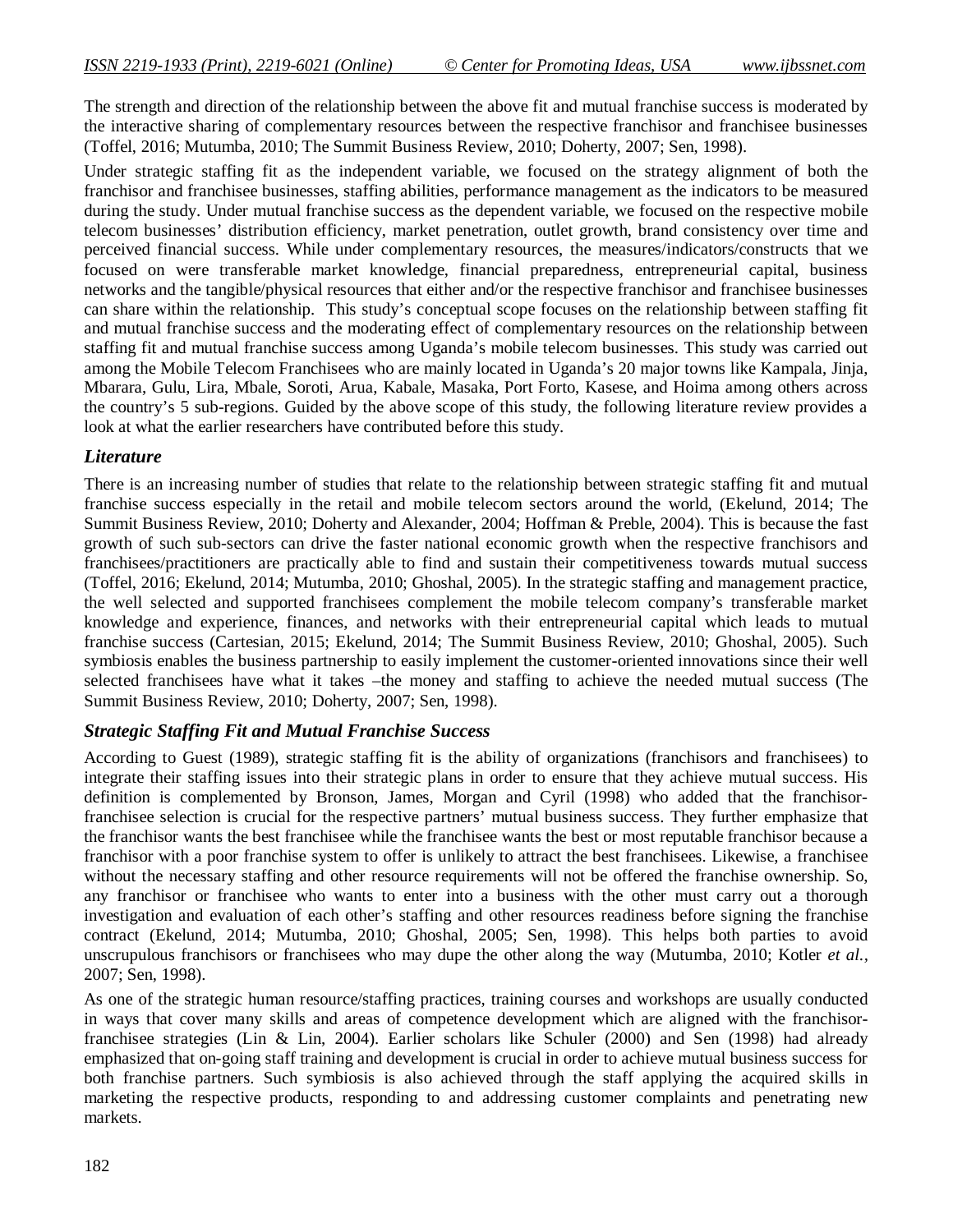The strength and direction of the relationship between the above fit and mutual franchise success is moderated by the interactive sharing of complementary resources between the respective franchisor and franchisee businesses (Toffel, 2016; Mutumba, 2010; The Summit Business Review, 2010; Doherty, 2007; Sen, 1998).

Under strategic staffing fit as the independent variable, we focused on the strategy alignment of both the franchisor and franchisee businesses, staffing abilities, performance management as the indicators to be measured during the study. Under mutual franchise success as the dependent variable, we focused on the respective mobile telecom businesses' distribution efficiency, market penetration, outlet growth, brand consistency over time and perceived financial success. While under complementary resources, the measures/indicators/constructs that we focused on were transferable market knowledge, financial preparedness, entrepreneurial capital, business networks and the tangible/physical resources that either and/or the respective franchisor and franchisee businesses can share within the relationship. This study's conceptual scope focuses on the relationship between staffing fit and mutual franchise success and the moderating effect of complementary resources on the relationship between staffing fit and mutual franchise success among Uganda's mobile telecom businesses. This study was carried out among the Mobile Telecom Franchisees who are mainly located in Uganda's 20 major towns like Kampala, Jinja, Mbarara, Gulu, Lira, Mbale, Soroti, Arua, Kabale, Masaka, Port Forto, Kasese, and Hoima among others across the country's 5 sub-regions. Guided by the above scope of this study, the following literature review provides a look at what the earlier researchers have contributed before this study.

## *Literature*

There is an increasing number of studies that relate to the relationship between strategic staffing fit and mutual franchise success especially in the retail and mobile telecom sectors around the world, (Ekelund, 2014; The Summit Business Review, 2010; Doherty and Alexander, 2004; Hoffman & Preble, 2004). This is because the fast growth of such sub-sectors can drive the faster national economic growth when the respective franchisors and franchisees/practitioners are practically able to find and sustain their competitiveness towards mutual success (Toffel, 2016; Ekelund, 2014; Mutumba, 2010; Ghoshal, 2005). In the strategic staffing and management practice, the well selected and supported franchisees complement the mobile telecom company's transferable market knowledge and experience, finances, and networks with their entrepreneurial capital which leads to mutual franchise success (Cartesian, 2015; Ekelund, 2014; The Summit Business Review, 2010; Ghoshal, 2005). Such symbiosis enables the business partnership to easily implement the customer-oriented innovations since their well selected franchisees have what it takes –the money and staffing to achieve the needed mutual success (The Summit Business Review, 2010; Doherty, 2007; Sen, 1998).

#### *Strategic Staffing Fit and Mutual Franchise Success*

According to Guest (1989), strategic staffing fit is the ability of organizations (franchisors and franchisees) to integrate their staffing issues into their strategic plans in order to ensure that they achieve mutual success. His definition is complemented by Bronson, James, Morgan and Cyril (1998) who added that the franchisorfranchisee selection is crucial for the respective partners' mutual business success. They further emphasize that the franchisor wants the best franchisee while the franchisee wants the best or most reputable franchisor because a franchisor with a poor franchise system to offer is unlikely to attract the best franchisees. Likewise, a franchisee without the necessary staffing and other resource requirements will not be offered the franchise ownership. So, any franchisor or franchisee who wants to enter into a business with the other must carry out a thorough investigation and evaluation of each other's staffing and other resources readiness before signing the franchise contract (Ekelund, 2014; Mutumba, 2010; Ghoshal, 2005; Sen, 1998). This helps both parties to avoid unscrupulous franchisors or franchisees who may dupe the other along the way (Mutumba, 2010; Kotler *et al.,* 2007; Sen, 1998).

As one of the strategic human resource/staffing practices, training courses and workshops are usually conducted in ways that cover many skills and areas of competence development which are aligned with the franchisorfranchisee strategies (Lin & Lin, 2004). Earlier scholars like Schuler (2000) and Sen (1998) had already emphasized that on-going staff training and development is crucial in order to achieve mutual business success for both franchise partners. Such symbiosis is also achieved through the staff applying the acquired skills in marketing the respective products, responding to and addressing customer complaints and penetrating new markets.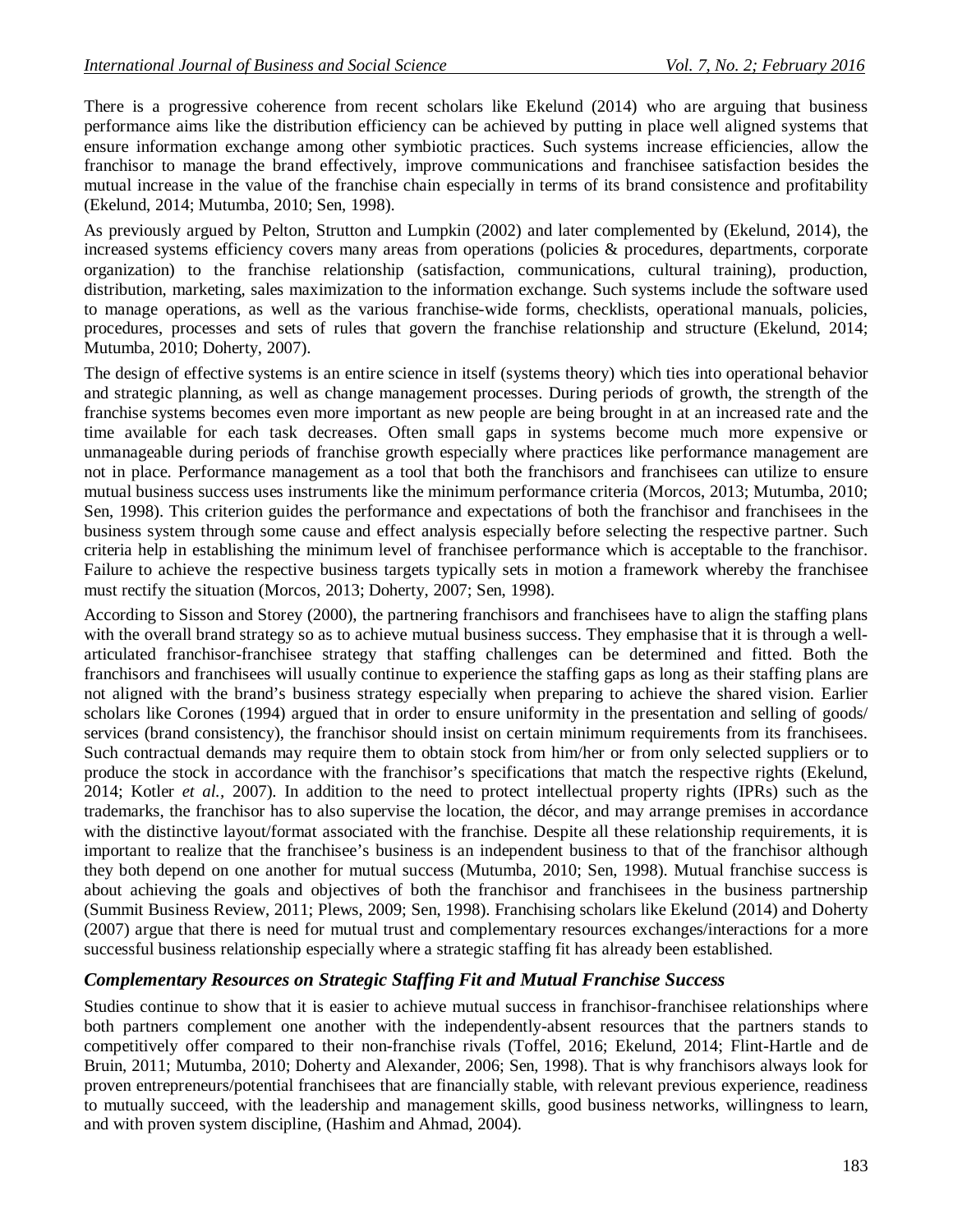There is a progressive coherence from recent scholars like Ekelund (2014) who are arguing that business performance aims like the distribution efficiency can be achieved by putting in place well aligned systems that ensure information exchange among other symbiotic practices. Such systems increase efficiencies, allow the franchisor to manage the brand effectively, improve communications and franchisee satisfaction besides the mutual increase in the value of the franchise chain especially in terms of its brand consistence and profitability (Ekelund, 2014; Mutumba, 2010; Sen, 1998).

As previously argued by Pelton, Strutton and Lumpkin (2002) and later complemented by (Ekelund, 2014), the increased systems efficiency covers many areas from operations (policies & procedures, departments, corporate organization) to the franchise relationship (satisfaction, communications, cultural training), production, distribution, marketing, sales maximization to the information exchange. Such systems include the software used to manage operations, as well as the various franchise-wide forms, checklists, operational manuals, policies, procedures, processes and sets of rules that govern the franchise relationship and structure (Ekelund, 2014; Mutumba, 2010; Doherty, 2007).

The design of effective systems is an entire science in itself (systems theory) which ties into operational behavior and strategic planning, as well as change management processes. During periods of growth, the strength of the franchise systems becomes even more important as new people are being brought in at an increased rate and the time available for each task decreases. Often small gaps in systems become much more expensive or unmanageable during periods of franchise growth especially where practices like performance management are not in place. Performance management as a tool that both the franchisors and franchisees can utilize to ensure mutual business success uses instruments like the minimum performance criteria (Morcos, 2013; Mutumba, 2010; Sen, 1998). This criterion guides the performance and expectations of both the franchisor and franchisees in the business system through some cause and effect analysis especially before selecting the respective partner. Such criteria help in establishing the minimum level of franchisee performance which is acceptable to the franchisor. Failure to achieve the respective business targets typically sets in motion a framework whereby the franchisee must rectify the situation (Morcos, 2013; Doherty, 2007; Sen, 1998).

According to Sisson and Storey (2000), the partnering franchisors and franchisees have to align the staffing plans with the overall brand strategy so as to achieve mutual business success. They emphasise that it is through a wellarticulated franchisor-franchisee strategy that staffing challenges can be determined and fitted. Both the franchisors and franchisees will usually continue to experience the staffing gaps as long as their staffing plans are not aligned with the brand's business strategy especially when preparing to achieve the shared vision. Earlier scholars like Corones (1994) argued that in order to ensure uniformity in the presentation and selling of goods/ services (brand consistency), the franchisor should insist on certain minimum requirements from its franchisees. Such contractual demands may require them to obtain stock from him/her or from only selected suppliers or to produce the stock in accordance with the franchisor's specifications that match the respective rights (Ekelund, 2014; Kotler *et al.,* 2007). In addition to the need to protect intellectual property rights (IPRs) such as the trademarks, the franchisor has to also supervise the location, the décor, and may arrange premises in accordance with the distinctive layout/format associated with the franchise. Despite all these relationship requirements, it is important to realize that the franchisee's business is an independent business to that of the franchisor although they both depend on one another for mutual success (Mutumba, 2010; Sen, 1998). Mutual franchise success is about achieving the goals and objectives of both the franchisor and franchisees in the business partnership (Summit Business Review, 2011; Plews, 2009; Sen, 1998). Franchising scholars like Ekelund (2014) and Doherty (2007) argue that there is need for mutual trust and complementary resources exchanges/interactions for a more successful business relationship especially where a strategic staffing fit has already been established.

#### *Complementary Resources on Strategic Staffing Fit and Mutual Franchise Success*

Studies continue to show that it is easier to achieve mutual success in franchisor-franchisee relationships where both partners complement one another with the independently-absent resources that the partners stands to competitively offer compared to their non-franchise rivals (Toffel, 2016; Ekelund, 2014; Flint-Hartle and de Bruin, 2011; Mutumba, 2010; Doherty and Alexander, 2006; Sen, 1998). That is why franchisors always look for proven entrepreneurs/potential franchisees that are financially stable, with relevant previous experience, readiness to mutually succeed, with the leadership and management skills, good business networks, willingness to learn, and with proven system discipline, (Hashim and Ahmad, 2004).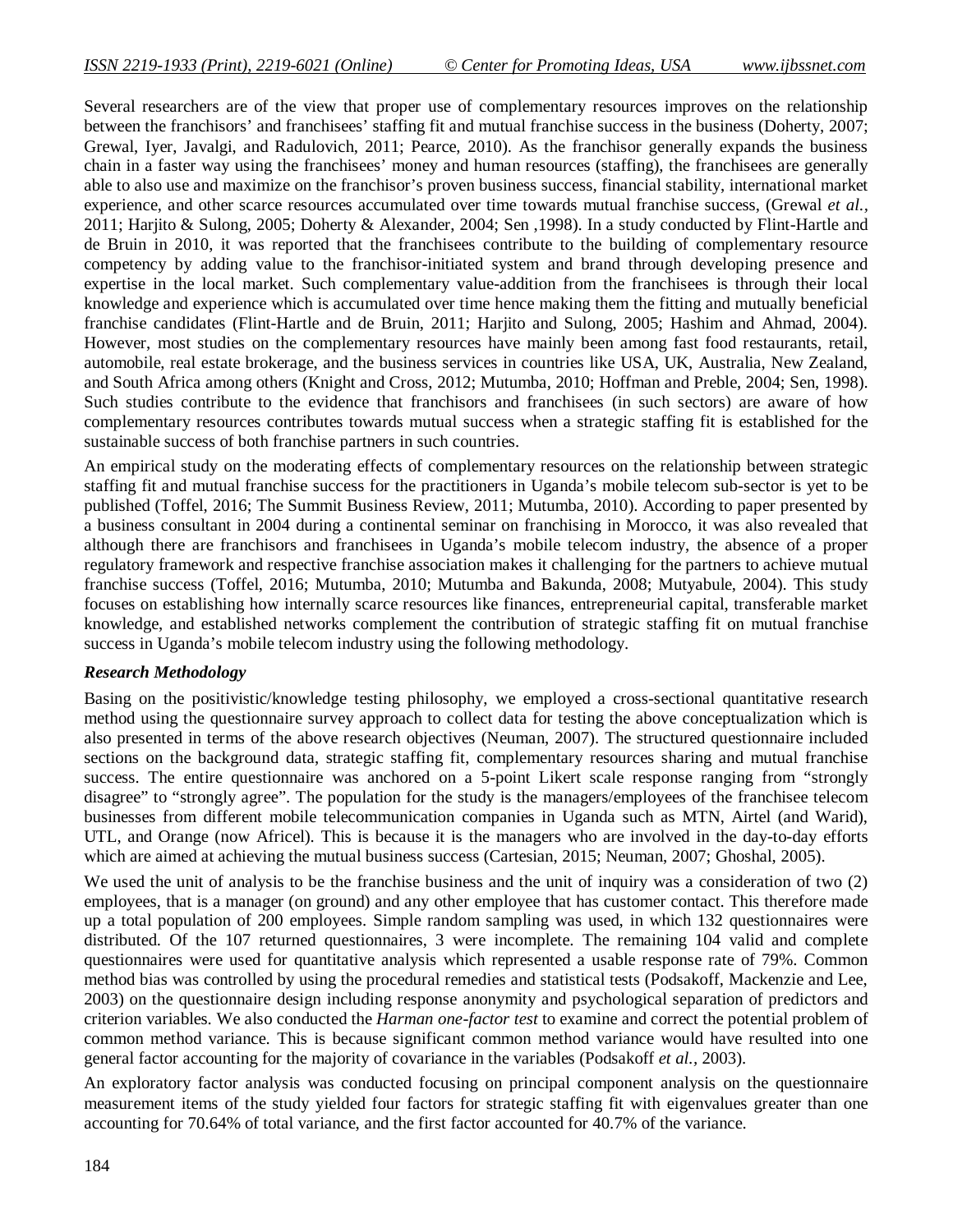Several researchers are of the view that proper use of complementary resources improves on the relationship between the franchisors' and franchisees' staffing fit and mutual franchise success in the business (Doherty, 2007; Grewal, Iyer, Javalgi, and Radulovich, 2011; Pearce, 2010). As the franchisor generally expands the business chain in a faster way using the franchisees' money and human resources (staffing), the franchisees are generally able to also use and maximize on the franchisor's proven business success, financial stability, international market experience, and other scarce resources accumulated over time towards mutual franchise success, (Grewal *et al.,* 2011; Harjito & Sulong, 2005; Doherty & Alexander, 2004; Sen ,1998). In a study conducted by Flint-Hartle and de Bruin in 2010, it was reported that the franchisees contribute to the building of complementary resource competency by adding value to the franchisor-initiated system and brand through developing presence and expertise in the local market. Such complementary value-addition from the franchisees is through their local knowledge and experience which is accumulated over time hence making them the fitting and mutually beneficial franchise candidates (Flint-Hartle and de Bruin, 2011; Harjito and Sulong, 2005; Hashim and Ahmad, 2004). However, most studies on the complementary resources have mainly been among fast food restaurants, retail, automobile, real estate brokerage, and the business services in countries like USA, UK, Australia, New Zealand, and South Africa among others (Knight and Cross, 2012; Mutumba, 2010; Hoffman and Preble, 2004; Sen, 1998). Such studies contribute to the evidence that franchisors and franchisees (in such sectors) are aware of how complementary resources contributes towards mutual success when a strategic staffing fit is established for the sustainable success of both franchise partners in such countries.

An empirical study on the moderating effects of complementary resources on the relationship between strategic staffing fit and mutual franchise success for the practitioners in Uganda's mobile telecom sub-sector is yet to be published (Toffel, 2016; The Summit Business Review, 2011; Mutumba, 2010). According to paper presented by a business consultant in 2004 during a continental seminar on franchising in Morocco, it was also revealed that although there are franchisors and franchisees in Uganda's mobile telecom industry, the absence of a proper regulatory framework and respective franchise association makes it challenging for the partners to achieve mutual franchise success (Toffel, 2016; Mutumba, 2010; Mutumba and Bakunda, 2008; Mutyabule, 2004). This study focuses on establishing how internally scarce resources like finances, entrepreneurial capital, transferable market knowledge, and established networks complement the contribution of strategic staffing fit on mutual franchise success in Uganda's mobile telecom industry using the following methodology.

#### *Research Methodology*

Basing on the positivistic/knowledge testing philosophy, we employed a cross-sectional quantitative research method using the questionnaire survey approach to collect data for testing the above conceptualization which is also presented in terms of the above research objectives (Neuman, 2007). The structured questionnaire included sections on the background data, strategic staffing fit, complementary resources sharing and mutual franchise success. The entire questionnaire was anchored on a 5-point Likert scale response ranging from "strongly disagree" to "strongly agree". The population for the study is the managers/employees of the franchisee telecom businesses from different mobile telecommunication companies in Uganda such as MTN, Airtel (and Warid), UTL, and Orange (now Africel). This is because it is the managers who are involved in the day-to-day efforts which are aimed at achieving the mutual business success (Cartesian, 2015; Neuman, 2007; Ghoshal, 2005).

We used the unit of analysis to be the franchise business and the unit of inquiry was a consideration of two  $(2)$ employees, that is a manager (on ground) and any other employee that has customer contact. This therefore made up a total population of 200 employees. Simple random sampling was used, in which 132 questionnaires were distributed. Of the 107 returned questionnaires, 3 were incomplete. The remaining 104 valid and complete questionnaires were used for quantitative analysis which represented a usable response rate of 79%. Common method bias was controlled by using the procedural remedies and statistical tests (Podsakoff, Mackenzie and Lee, 2003) on the questionnaire design including response anonymity and psychological separation of predictors and criterion variables. We also conducted the *Harman one-factor test* to examine and correct the potential problem of common method variance. This is because significant common method variance would have resulted into one general factor accounting for the majority of covariance in the variables (Podsakoff *et al.,* 2003).

An exploratory factor analysis was conducted focusing on principal component analysis on the questionnaire measurement items of the study yielded four factors for strategic staffing fit with eigenvalues greater than one accounting for 70.64% of total variance, and the first factor accounted for 40.7% of the variance.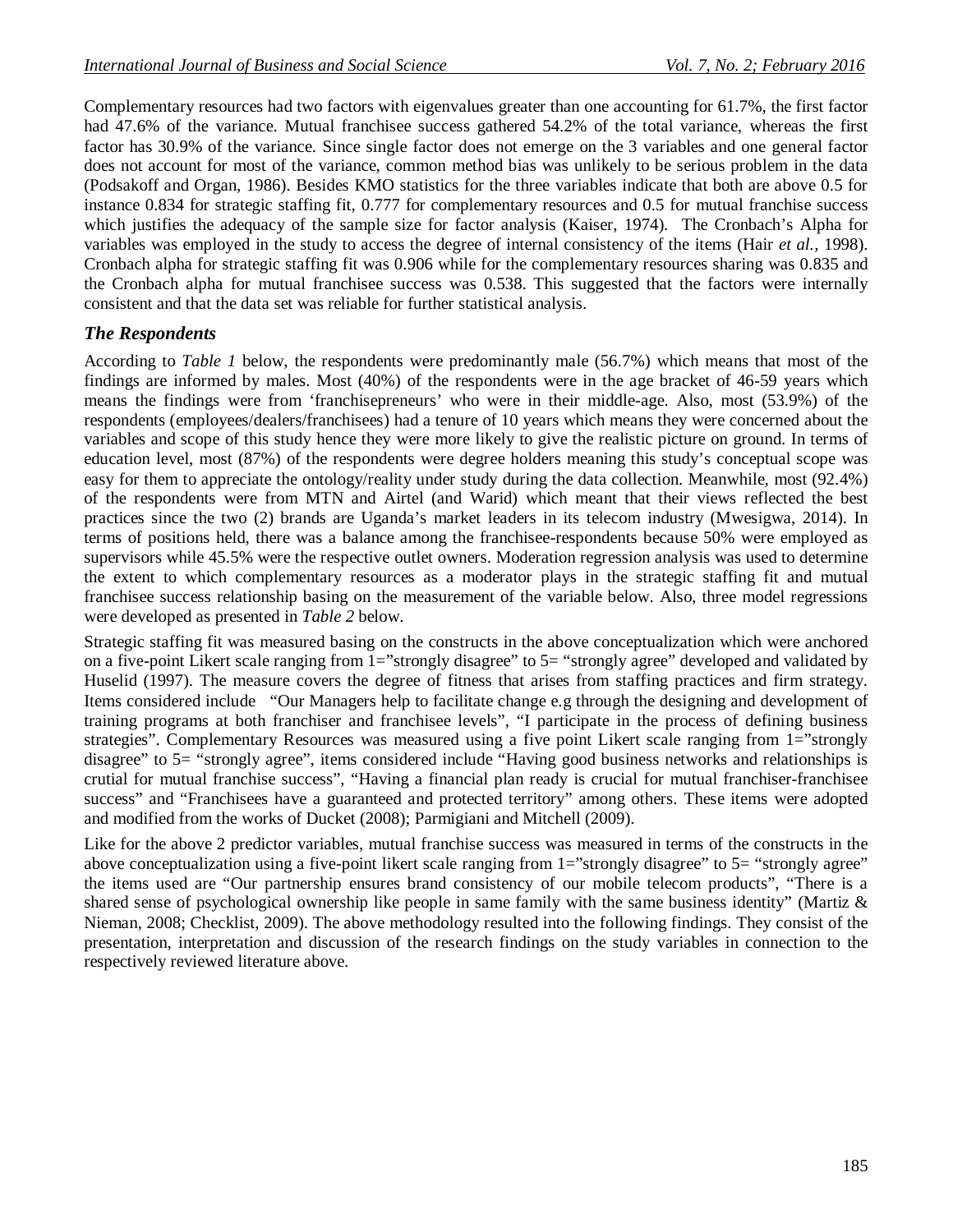Complementary resources had two factors with eigenvalues greater than one accounting for 61.7%, the first factor had 47.6% of the variance. Mutual franchisee success gathered 54.2% of the total variance, whereas the first factor has 30.9% of the variance. Since single factor does not emerge on the 3 variables and one general factor does not account for most of the variance, common method bias was unlikely to be serious problem in the data (Podsakoff and Organ, 1986). Besides KMO statistics for the three variables indicate that both are above 0.5 for instance 0.834 for strategic staffing fit, 0.777 for complementary resources and 0.5 for mutual franchise success which justifies the adequacy of the sample size for factor analysis (Kaiser, 1974). The Cronbach's Alpha for variables was employed in the study to access the degree of internal consistency of the items (Hair *et al.,* 1998). Cronbach alpha for strategic staffing fit was 0.906 while for the complementary resources sharing was 0.835 and the Cronbach alpha for mutual franchisee success was 0.538. This suggested that the factors were internally consistent and that the data set was reliable for further statistical analysis.

## *The Respondents*

According to *Table 1* below, the respondents were predominantly male (56.7%) which means that most of the findings are informed by males. Most (40%) of the respondents were in the age bracket of 46-59 years which means the findings were from 'franchisepreneurs' who were in their middle-age. Also, most (53.9%) of the respondents (employees/dealers/franchisees) had a tenure of 10 years which means they were concerned about the variables and scope of this study hence they were more likely to give the realistic picture on ground. In terms of education level, most (87%) of the respondents were degree holders meaning this study's conceptual scope was easy for them to appreciate the ontology/reality under study during the data collection. Meanwhile, most (92.4%) of the respondents were from MTN and Airtel (and Warid) which meant that their views reflected the best practices since the two (2) brands are Uganda's market leaders in its telecom industry (Mwesigwa, 2014). In terms of positions held, there was a balance among the franchisee-respondents because 50% were employed as supervisors while 45.5% were the respective outlet owners. Moderation regression analysis was used to determine the extent to which complementary resources as a moderator plays in the strategic staffing fit and mutual franchisee success relationship basing on the measurement of the variable below. Also, three model regressions were developed as presented in *Table 2* below.

Strategic staffing fit was measured basing on the constructs in the above conceptualization which were anchored on a five-point Likert scale ranging from 1="strongly disagree" to 5= "strongly agree" developed and validated by Huselid (1997). The measure covers the degree of fitness that arises from staffing practices and firm strategy. Items considered include "Our Managers help to facilitate change e.g through the designing and development of training programs at both franchiser and franchisee levels", "I participate in the process of defining business strategies". Complementary Resources was measured using a five point Likert scale ranging from 1="strongly disagree" to 5= "strongly agree", items considered include "Having good business networks and relationships is crutial for mutual franchise success", "Having a financial plan ready is crucial for mutual franchiser-franchisee success" and "Franchisees have a guaranteed and protected territory" among others. These items were adopted and modified from the works of Ducket (2008); Parmigiani and Mitchell (2009).

Like for the above 2 predictor variables, mutual franchise success was measured in terms of the constructs in the above conceptualization using a five-point likert scale ranging from 1="strongly disagree" to 5= "strongly agree" the items used are "Our partnership ensures brand consistency of our mobile telecom products", "There is a shared sense of psychological ownership like people in same family with the same business identity" (Martiz & Nieman, 2008; Checklist, 2009). The above methodology resulted into the following findings. They consist of the presentation, interpretation and discussion of the research findings on the study variables in connection to the respectively reviewed literature above.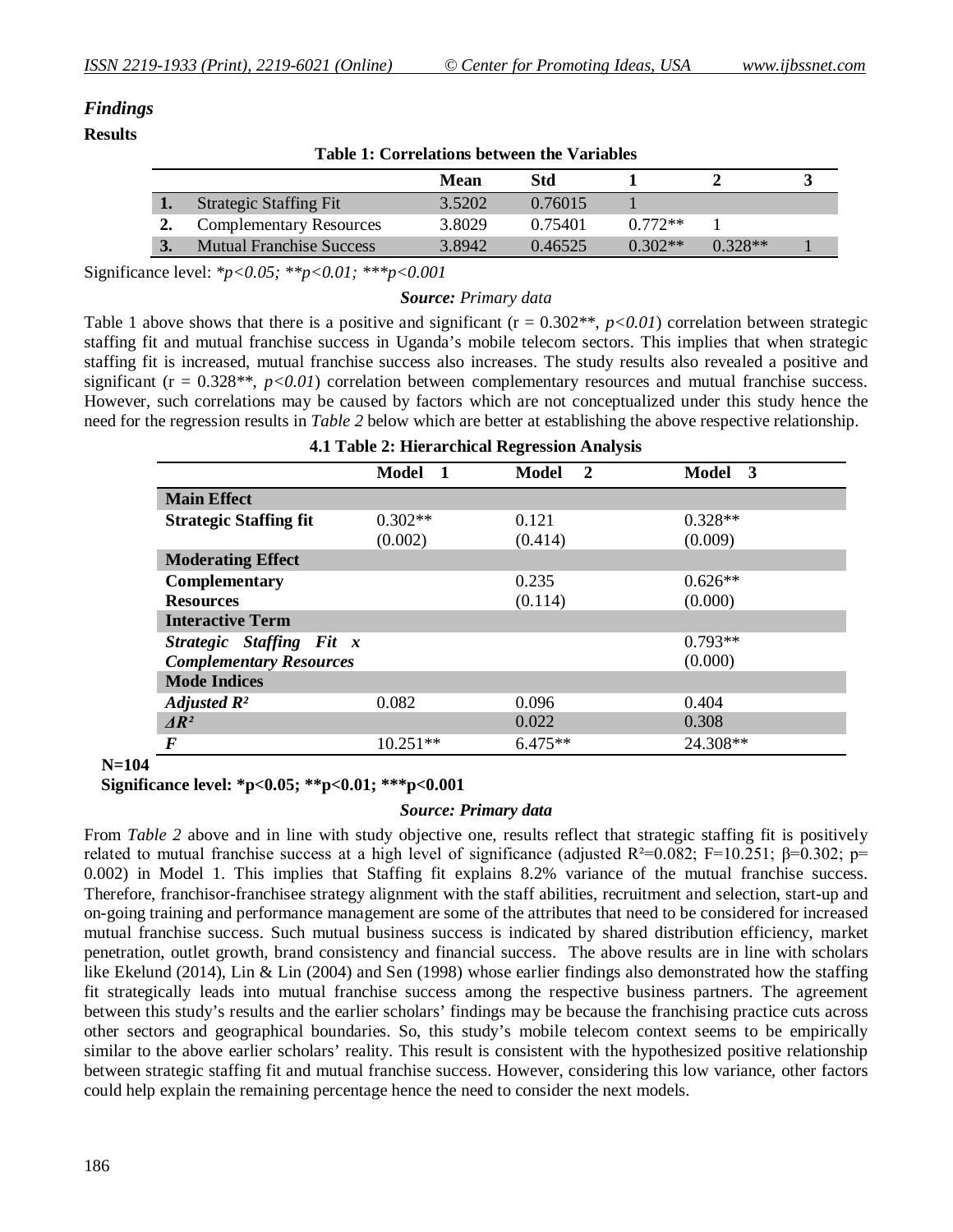# *Findings*

#### **Results**

| Table 1. Correlations between the variables |                                 |             |         |           |           |  |  |  |
|---------------------------------------------|---------------------------------|-------------|---------|-----------|-----------|--|--|--|
|                                             |                                 | <b>Mean</b> | Std     |           |           |  |  |  |
|                                             | <b>Strategic Staffing Fit</b>   | 3.5202      | 0.76015 |           |           |  |  |  |
|                                             | <b>Complementary Resources</b>  | 3.8029      | 0.75401 | $0.772**$ |           |  |  |  |
|                                             | <b>Mutual Franchise Success</b> | 3.8942      | 0.46525 | $0.302**$ | $0.328**$ |  |  |  |

**Table 1: Correlations between the Variables**

Significance level: *\*p<0.05; \*\*p<0.01; \*\*\*p<0.001*

#### *Source: Primary data*

Table 1 above shows that there is a positive and significant  $(r = 0.302**, p<0.01)$  correlation between strategic staffing fit and mutual franchise success in Uganda's mobile telecom sectors. This implies that when strategic staffing fit is increased, mutual franchise success also increases. The study results also revealed a positive and significant ( $r = 0.328**$ ,  $p < 0.01$ ) correlation between complementary resources and mutual franchise success. However, such correlations may be caused by factors which are not conceptualized under this study hence the need for the regression results in *Table 2* below which are better at establishing the above respective relationship.

| 4.1 Table 2: Hierarchical Regression Analysis |            |           |           |  |  |  |  |
|-----------------------------------------------|------------|-----------|-----------|--|--|--|--|
|                                               | Model 1    | Model 2   | Model 3   |  |  |  |  |
| <b>Main Effect</b>                            |            |           |           |  |  |  |  |
| <b>Strategic Staffing fit</b>                 | $0.302**$  | 0.121     | $0.328**$ |  |  |  |  |
|                                               | (0.002)    | (0.414)   | (0.009)   |  |  |  |  |
| <b>Moderating Effect</b>                      |            |           |           |  |  |  |  |
| <b>Complementary</b>                          |            | 0.235     | $0.626**$ |  |  |  |  |
| <b>Resources</b>                              |            | (0.114)   | (0.000)   |  |  |  |  |
| <b>Interactive Term</b>                       |            |           |           |  |  |  |  |
| Strategic Staffing Fit x                      |            |           | $0.793**$ |  |  |  |  |
| <b>Complementary Resources</b>                |            |           | (0.000)   |  |  |  |  |
| <b>Mode Indices</b>                           |            |           |           |  |  |  |  |
| Adjusted $R^2$                                | 0.082      | 0.096     | 0.404     |  |  |  |  |
| $\Delta R^2$                                  |            | 0.022     | 0.308     |  |  |  |  |
| $\boldsymbol{F}$                              | $10.251**$ | $6.475**$ | 24.308**  |  |  |  |  |

 **N=104**

 **Significance level: \*p<0.05; \*\*p<0.01; \*\*\*p<0.001**

#### *Source: Primary data*

From *Table 2* above and in line with study objective one, results reflect that strategic staffing fit is positively related to mutual franchise success at a high level of significance (adjusted R<sup>2</sup>=0.082; F=10.251; β=0.302; p= 0.002) in Model 1. This implies that Staffing fit explains 8.2% variance of the mutual franchise success. Therefore, franchisor-franchisee strategy alignment with the staff abilities, recruitment and selection, start-up and on-going training and performance management are some of the attributes that need to be considered for increased mutual franchise success. Such mutual business success is indicated by shared distribution efficiency, market penetration, outlet growth, brand consistency and financial success. The above results are in line with scholars like Ekelund (2014), Lin & Lin (2004) and Sen (1998) whose earlier findings also demonstrated how the staffing fit strategically leads into mutual franchise success among the respective business partners. The agreement between this study's results and the earlier scholars' findings may be because the franchising practice cuts across other sectors and geographical boundaries. So, this study's mobile telecom context seems to be empirically similar to the above earlier scholars' reality. This result is consistent with the hypothesized positive relationship between strategic staffing fit and mutual franchise success. However, considering this low variance, other factors could help explain the remaining percentage hence the need to consider the next models.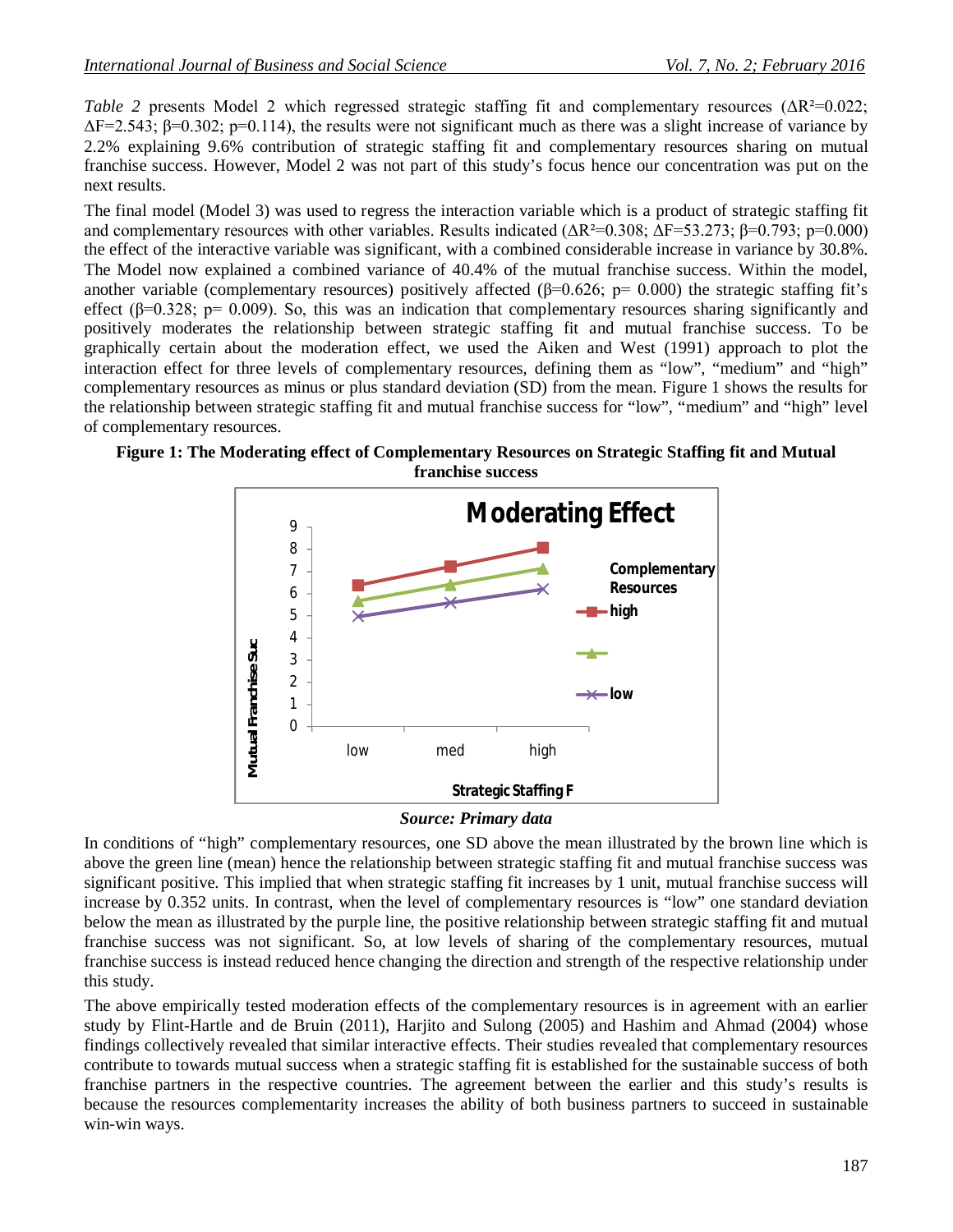*Table 2* presents Model 2 which regressed strategic staffing fit and complementary resources (ΔR<sup>2</sup>=0.022;  $\Delta F = 2.543$ ;  $\beta = 0.302$ ;  $p = 0.114$ ), the results were not significant much as there was a slight increase of variance by 2.2% explaining 9.6% contribution of strategic staffing fit and complementary resources sharing on mutual franchise success. However, Model 2 was not part of this study's focus hence our concentration was put on the next results.

The final model (Model 3) was used to regress the interaction variable which is a product of strategic staffing fit and complementary resources with other variables. Results indicated  $(\Delta R^2=0.308; \Delta F=53.273; \beta=0.793; p=0.000)$ the effect of the interactive variable was significant, with a combined considerable increase in variance by 30.8%. The Model now explained a combined variance of 40.4% of the mutual franchise success. Within the model, another variable (complementary resources) positively affected ( $\beta$ =0.626; p= 0.000) the strategic staffing fit's effect ( $\beta$ =0.328; p= 0.009). So, this was an indication that complementary resources sharing significantly and positively moderates the relationship between strategic staffing fit and mutual franchise success. To be graphically certain about the moderation effect, we used the Aiken and West (1991) approach to plot the interaction effect for three levels of complementary resources, defining them as "low", "medium" and "high" complementary resources as minus or plus standard deviation (SD) from the mean. Figure 1 shows the results for the relationship between strategic staffing fit and mutual franchise success for "low", "medium" and "high" level of complementary resources.



**Figure 1: The Moderating effect of Complementary Resources on Strategic Staffing fit and Mutual franchise success**

#### *Source: Primary data*

In conditions of "high" complementary resources, one SD above the mean illustrated by the brown line which is above the green line (mean) hence the relationship between strategic staffing fit and mutual franchise success was significant positive. This implied that when strategic staffing fit increases by 1 unit, mutual franchise success will increase by 0.352 units. In contrast, when the level of complementary resources is "low" one standard deviation below the mean as illustrated by the purple line, the positive relationship between strategic staffing fit and mutual franchise success was not significant. So, at low levels of sharing of the complementary resources, mutual franchise success is instead reduced hence changing the direction and strength of the respective relationship under this study.

The above empirically tested moderation effects of the complementary resources is in agreement with an earlier study by Flint-Hartle and de Bruin (2011), Harjito and Sulong (2005) and Hashim and Ahmad (2004) whose findings collectively revealed that similar interactive effects. Their studies revealed that complementary resources contribute to towards mutual success when a strategic staffing fit is established for the sustainable success of both franchise partners in the respective countries. The agreement between the earlier and this study's results is because the resources complementarity increases the ability of both business partners to succeed in sustainable win-win ways.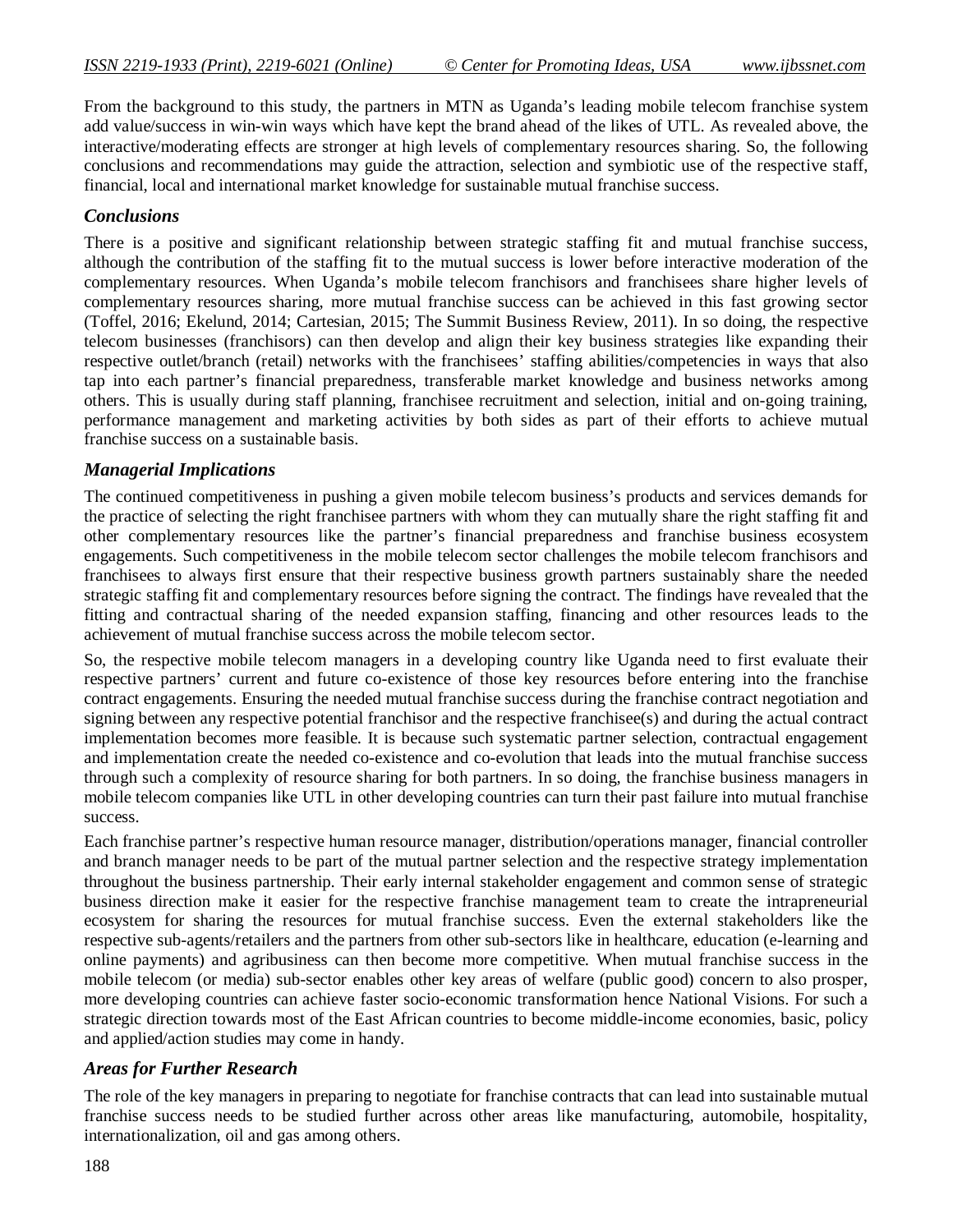From the background to this study, the partners in MTN as Uganda's leading mobile telecom franchise system add value/success in win-win ways which have kept the brand ahead of the likes of UTL. As revealed above, the interactive/moderating effects are stronger at high levels of complementary resources sharing. So, the following conclusions and recommendations may guide the attraction, selection and symbiotic use of the respective staff, financial, local and international market knowledge for sustainable mutual franchise success.

#### *Conclusions*

There is a positive and significant relationship between strategic staffing fit and mutual franchise success, although the contribution of the staffing fit to the mutual success is lower before interactive moderation of the complementary resources. When Uganda's mobile telecom franchisors and franchisees share higher levels of complementary resources sharing, more mutual franchise success can be achieved in this fast growing sector (Toffel, 2016; Ekelund, 2014; Cartesian, 2015; The Summit Business Review, 2011). In so doing, the respective telecom businesses (franchisors) can then develop and align their key business strategies like expanding their respective outlet/branch (retail) networks with the franchisees' staffing abilities/competencies in ways that also tap into each partner's financial preparedness, transferable market knowledge and business networks among others. This is usually during staff planning, franchisee recruitment and selection, initial and on-going training, performance management and marketing activities by both sides as part of their efforts to achieve mutual franchise success on a sustainable basis.

## *Managerial Implications*

The continued competitiveness in pushing a given mobile telecom business's products and services demands for the practice of selecting the right franchisee partners with whom they can mutually share the right staffing fit and other complementary resources like the partner's financial preparedness and franchise business ecosystem engagements. Such competitiveness in the mobile telecom sector challenges the mobile telecom franchisors and franchisees to always first ensure that their respective business growth partners sustainably share the needed strategic staffing fit and complementary resources before signing the contract. The findings have revealed that the fitting and contractual sharing of the needed expansion staffing, financing and other resources leads to the achievement of mutual franchise success across the mobile telecom sector.

So, the respective mobile telecom managers in a developing country like Uganda need to first evaluate their respective partners' current and future co-existence of those key resources before entering into the franchise contract engagements. Ensuring the needed mutual franchise success during the franchise contract negotiation and signing between any respective potential franchisor and the respective franchisee(s) and during the actual contract implementation becomes more feasible. It is because such systematic partner selection, contractual engagement and implementation create the needed co-existence and co-evolution that leads into the mutual franchise success through such a complexity of resource sharing for both partners. In so doing, the franchise business managers in mobile telecom companies like UTL in other developing countries can turn their past failure into mutual franchise success.

Each franchise partner's respective human resource manager, distribution/operations manager, financial controller and branch manager needs to be part of the mutual partner selection and the respective strategy implementation throughout the business partnership. Their early internal stakeholder engagement and common sense of strategic business direction make it easier for the respective franchise management team to create the intrapreneurial ecosystem for sharing the resources for mutual franchise success. Even the external stakeholders like the respective sub-agents/retailers and the partners from other sub-sectors like in healthcare, education (e-learning and online payments) and agribusiness can then become more competitive. When mutual franchise success in the mobile telecom (or media) sub-sector enables other key areas of welfare (public good) concern to also prosper, more developing countries can achieve faster socio-economic transformation hence National Visions. For such a strategic direction towards most of the East African countries to become middle-income economies, basic, policy and applied/action studies may come in handy.

#### *Areas for Further Research*

The role of the key managers in preparing to negotiate for franchise contracts that can lead into sustainable mutual franchise success needs to be studied further across other areas like manufacturing, automobile, hospitality, internationalization, oil and gas among others.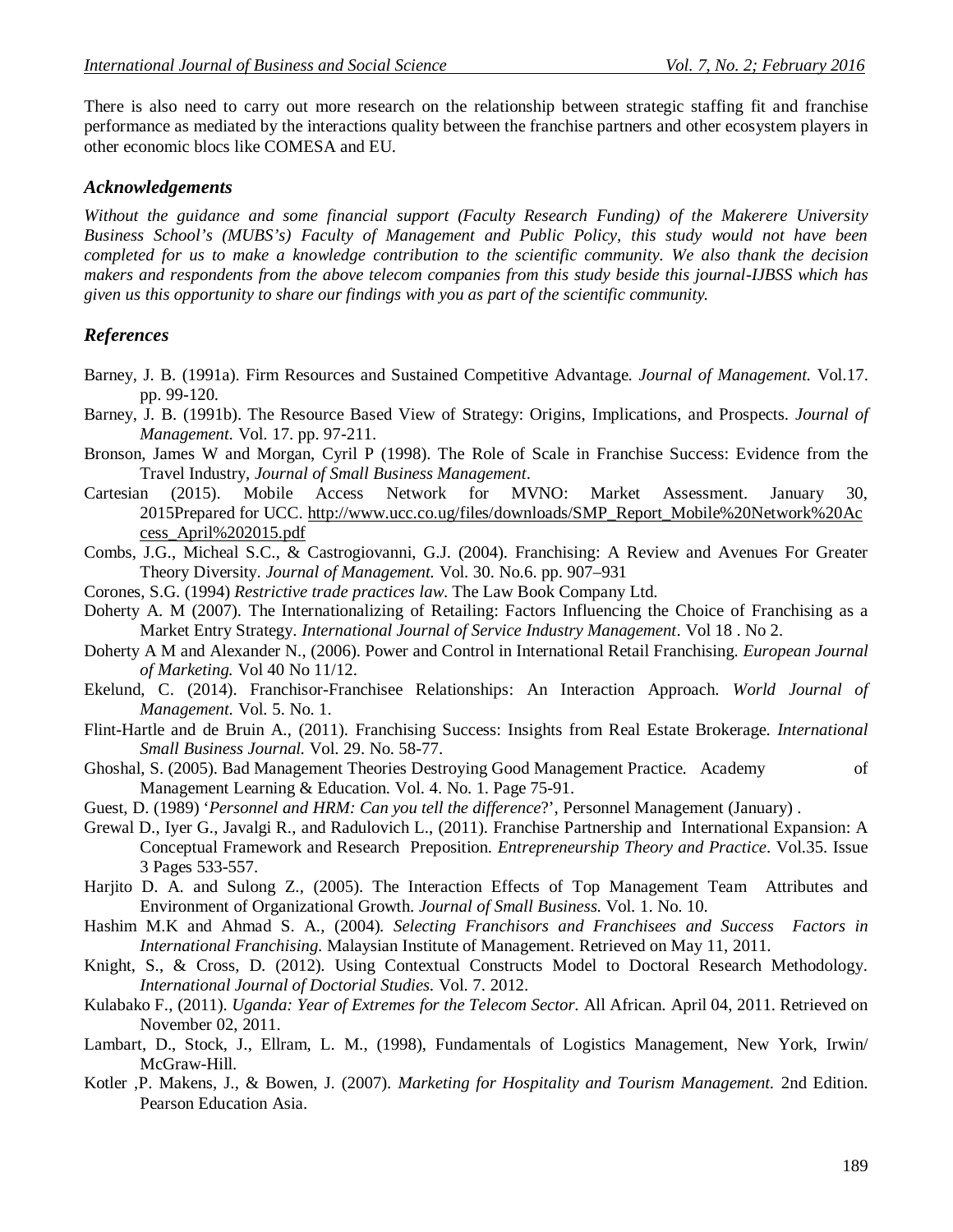There is also need to carry out more research on the relationship between strategic staffing fit and franchise performance as mediated by the interactions quality between the franchise partners and other ecosystem players in other economic blocs like COMESA and EU.

#### *Acknowledgements*

*Without the guidance and some financial support (Faculty Research Funding) of the Makerere University Business School's (MUBS's) Faculty of Management and Public Policy, this study would not have been completed for us to make a knowledge contribution to the scientific community. We also thank the decision makers and respondents from the above telecom companies from this study beside this journal-IJBSS which has given us this opportunity to share our findings with you as part of the scientific community.*

#### *References*

- Barney, J. B. (1991a). Firm Resources and Sustained Competitive Advantage. *Journal of Management.* Vol.17. pp. 99-120.
- Barney, J. B. (1991b). The Resource Based View of Strategy: Origins, Implications, and Prospects. *Journal of Management.* Vol. 17. pp. 97-211.
- Bronson, James W and Morgan, Cyril P (1998). The Role of Scale in Franchise Success: Evidence from the Travel Industry, *Journal of Small Business Management*.
- Cartesian (2015). Mobile Access Network for MVNO: Market Assessment. January 30, 2015Prepared for UCC. http://www.ucc.co.ug/files/downloads/SMP\_Report\_Mobile%20Network%20Ac cess\_April%202015.pdf
- Combs, J.G., Micheal S.C., & Castrogiovanni, G.J. (2004). Franchising: A Review and Avenues For Greater Theory Diversity. *Journal of Management.* Vol. 30. No.6. pp. 907–931
- Corones, S.G. (1994) *Restrictive trade practices law*. The Law Book Company Ltd.
- Doherty A. M (2007). The Internationalizing of Retailing: Factors Influencing the Choice of Franchising as a Market Entry Strategy. *International Journal of Service Industry Management*. Vol 18 . No 2.
- Doherty A M and Alexander N., (2006). Power and Control in International Retail Franchising. *European Journal of Marketing.* Vol 40 No 11/12.
- Ekelund, C. (2014). Franchisor-Franchisee Relationships: An Interaction Approach. *World Journal of Management.* Vol. 5. No. 1.
- Flint-Hartle and de Bruin A., (2011). Franchising Success: Insights from Real Estate Brokerage. *International Small Business Journal.* Vol. 29. No. 58-77.
- Ghoshal, S. (2005). Bad Management Theories Destroying Good Management Practice. Academy of Management Learning & Education. Vol. 4. No. 1. Page 75-91.
- Guest, D. (1989) '*Personnel and HRM: Can you tell the difference*?', Personnel Management (January) .
- Grewal D., Iyer G., Javalgi R., and Radulovich L., (2011). Franchise Partnership and International Expansion: A Conceptual Framework and Research Preposition. *Entrepreneurship Theory and Practice*. Vol.35. Issue 3 Pages 533-557.
- Harjito D. A. and Sulong Z., (2005). The Interaction Effects of Top Management Team Attributes and Environment of Organizational Growth. *Journal of Small Business.* Vol. 1. No. 10.
- Hashim M.K and Ahmad S. A., (2004). *Selecting Franchisors and Franchisees and Success Factors in International Franchising.* Malaysian Institute of Management. Retrieved on May 11, 2011.
- Knight, S., & Cross, D. (2012). Using Contextual Constructs Model to Doctoral Research Methodology. *International Journal of Doctorial Studies.* Vol. 7. 2012.
- Kulabako F., (2011). *Uganda: Year of Extremes for the Telecom Sector.* All African. April 04, 2011. Retrieved on November 02, 2011.
- Lambart, D., Stock, J., Ellram, L. M., (1998), Fundamentals of Logistics Management, New York, Irwin/ McGraw-Hill.
- Kotler ,P. Makens, J., & Bowen, J. (2007). *Marketing for Hospitality and Tourism Management.* 2nd Edition. Pearson Education Asia.